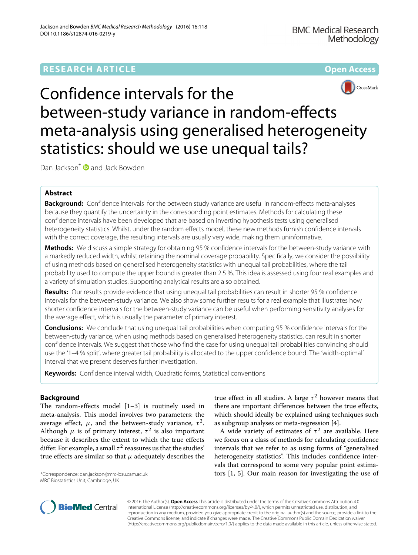# **RESEARCH ARTICLE Open Access**





Confidence intervals for the between-study variance in random-effects meta-analysis using generalised heterogeneity statistics: should we use unequal tails?

Dan Jackson<sup>\*</sup> and Jack Bowden

# **Abstract**

**Background:** Confidence intervals for the between study variance are useful in random-effects meta-analyses because they quantify the uncertainty in the corresponding point estimates. Methods for calculating these confidence intervals have been developed that are based on inverting hypothesis tests using generalised heterogeneity statistics. Whilst, under the random effects model, these new methods furnish confidence intervals with the correct coverage, the resulting intervals are usually very wide, making them uninformative.

**Methods:** We discuss a simple strategy for obtaining 95 % confidence intervals for the between-study variance with a markedly reduced width, whilst retaining the nominal coverage probability. Specifically, we consider the possibility of using methods based on generalised heterogeneity statistics with unequal tail probabilities, where the tail probability used to compute the upper bound is greater than 2.5 %. This idea is assessed using four real examples and a variety of simulation studies. Supporting analytical results are also obtained.

**Results:** Our results provide evidence that using unequal tail probabilities can result in shorter 95 % confidence intervals for the between-study variance. We also show some further results for a real example that illustrates how shorter confidence intervals for the between-study variance can be useful when performing sensitivity analyses for the average effect, which is usually the parameter of primary interest.

**Conclusions:** We conclude that using unequal tail probabilities when computing 95 % confidence intervals for the between-study variance, when using methods based on generalised heterogeneity statistics, can result in shorter confidence intervals. We suggest that those who find the case for using unequal tail probabilities convincing should use the '1–4 % split', where greater tail probability is allocated to the upper confidence bound. The 'width-optimal' interval that we present deserves further investigation.

**Keywords:** Confidence interval width, Quadratic forms, Statistical conventions

# **Background**

The random-effects model [\[1–](#page-13-0)[3\]](#page-13-1) is routinely used in meta-analysis. This model involves two parameters: the average effect,  $\mu$ , and the between-study variance,  $\tau^2$ . Although  $\mu$  is of primary interest,  $\tau^2$  is also important because it describes the extent to which the true effects differ. For example, a small  $\tau^2$  reassures us that the studies' true effects are similar so that  $\mu$  adequately describes the

\*Correspondence: [dan.jackson@mrc-bsu.cam.ac.uk](mailto: dan.jackson@mrc-bsu.cam.ac.uk) MRC Biostatistics Unit, Cambridge, UK

true effect in all studies. A large  $\tau^2$  however means that there are important differences between the true effects, which should ideally be explained using techniques such as subgroup analyses or meta-regression [\[4\]](#page-13-2).

A wide variety of estimates of  $\tau^2$  are available. Here we focus on a class of methods for calculating confidence intervals that we refer to as using forms of "generalised heterogeneity statistics". This includes confidence intervals that correspond to some very popular point estimators [\[1,](#page-13-0) [5\]](#page-13-3). Our main reason for investigating the use of



© 2016 The Author(s). **Open Access** This article is distributed under the terms of the Creative Commons Attribution 4.0 International License [\(http://creativecommons.org/licenses/by/4.0/\)](http://creativecommons.org/licenses/by/4.0/), which permits unrestricted use, distribution, and reproduction in any medium, provided you give appropriate credit to the original author(s) and the source, provide a link to the Creative Commons license, and indicate if changes were made. The Creative Commons Public Domain Dedication waiver [\(http://creativecommons.org/publicdomain/zero/1.0/\)](http://creativecommons.org/publicdomain/zero/1.0/) applies to the data made available in this article, unless otherwise stated.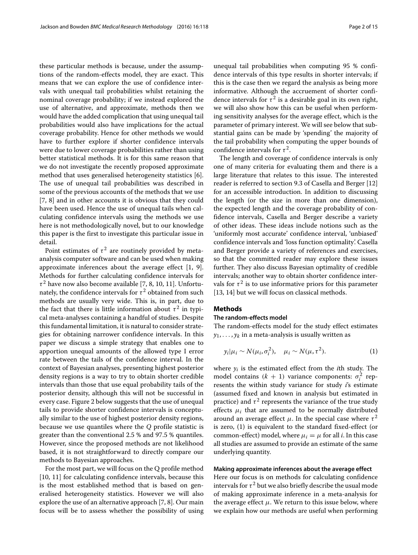these particular methods is because, under the assumptions of the random-effects model, they are exact. This means that we can explore the use of confidence intervals with unequal tail probabilities whilst retaining the nominal coverage probability; if we instead explored the use of alternative, and approximate, methods then we would have the added complication that using unequal tail probabilities would also have implications for the actual coverage probability. Hence for other methods we would have to further explore if shorter confidence intervals were due to lower coverage probabilities rather than using better statistical methods. It is for this same reason that we do not investigate the recently proposed approximate method that uses generalised heterogeneity statistics [\[6\]](#page-13-4). The use of unequal tail probabilities was described in some of the previous accounts of the methods that we use [\[7,](#page-13-5) [8\]](#page-13-6) and in other accounts it is obvious that they could have been used. Hence the use of unequal tails when calculating confidence intervals using the methods we use here is not methodologically novel, but to our knowledge this paper is the first to investigate this particular issue in detail.

Point estimates of  $\tau^2$  are routinely provided by metaanalysis computer software and can be used when making approximate inferences about the average effect [\[1,](#page-13-0) [9\]](#page-14-0). Methods for further calculating confidence intervals for  $\tau^2$  have now also become available [\[7,](#page-13-5) [8,](#page-13-6) [10,](#page-14-1) [11\]](#page-14-2). Unfortunately, the confidence intervals for  $\tau^2$  obtained from such methods are usually very wide. This is, in part, due to the fact that there is little information about  $\tau^2$  in typical meta-analyses containing a handful of studies. Despite this fundamental limitation, it is natural to consider strategies for obtaining narrower confidence intervals. In this paper we discuss a simple strategy that enables one to apportion unequal amounts of the allowed type I error rate between the tails of the confidence interval. In the context of Bayesian analyses, presenting highest posterior density regions is a way to try to obtain shorter credible intervals than those that use equal probability tails of the posterior density, although this will not be successful in every case. Figure [2](#page-5-0) below suggests that the use of unequal tails to provide shorter confidence intervals is conceptually similar to the use of highest posterior density regions, because we use quantiles where the *Q* profile statistic is greater than the conventional 2.5 % and 97.5 % quantiles. However, since the proposed methods are not likelihood based, it is not straightforward to directly compare our methods to Bayesian approaches.

For the most part, we will focus on the Q profile method [\[10,](#page-14-1) [11\]](#page-14-2) for calculating confidence intervals, because this is the most established method that is based on generalised heterogeneity statistics. However we will also explore the use of an alternative approach [\[7,](#page-13-5) [8\]](#page-13-6). Our main focus will be to assess whether the possibility of using unequal tail probabilities when computing 95 % confidence intervals of this type results in shorter intervals; if this is the case then we regard the analysis as being more informative. Although the accruement of shorter confidence intervals for  $\tau^2$  is a desirable goal in its own right, we will also show how this can be useful when performing sensitivity analyses for the average effect, which is the parameter of primary interest. We will see below that substantial gains can be made by 'spending' the majority of the tail probability when computing the upper bounds of confidence intervals for  $\tau^2$ .

The length and coverage of confidence intervals is only one of many criteria for evaluating them and there is a large literature that relates to this issue. The interested reader is referred to section 9.3 of Casella and Berger [\[12\]](#page-14-3) for an accessible introduction. In addition to discussing the length (or the size in more than one dimension), the expected length and the coverage probability of confidence intervals, Casella and Berger describe a variety of other ideas. These ideas include notions such as the 'uniformly most accurate' confidence interval, 'unbiased' confidence intervals and 'loss function optimality'. Casella and Berger provide a variety of references and exercises, so that the committed reader may explore these issues further. They also discuss Bayesian optimality of credible intervals; another way to obtain shorter confidence intervals for  $\tau^2$  is to use informative priors for this parameter [\[13,](#page-14-4) [14\]](#page-14-5) but we will focus on classical methods.

# **Methods**

# **The random-effects model**

The random-effects model for the study effect estimates  $y_1, \ldots, y_k$  in a meta-analysis is usually written as

<span id="page-1-0"></span>
$$
y_i|\mu_i \sim N(\mu_i, \sigma_i^2), \quad \mu_i \sim N(\mu, \tau^2). \tag{1}
$$

where *yi* is the estimated effect from the *i*th study. The model contains  $(k + 1)$  variance components:  $\sigma_i^2$  represents the within study variance for study *i*'s estimate (assumed fixed and known in analysis but estimated in practice) and  $\tau^2$  represents the variance of the true study effects  $\mu_i$  that are assumed to be normally distributed around an average effect  $\mu$ . In the special case where  $\tau^2$ is zero, [\(1\)](#page-1-0) is equivalent to the standard fixed-effect (or common-effect) model, where  $\mu_i = \mu$  for all *i*. In this case all studies are assumed to provide an estimate of the same underlying quantity.

# **Making approximate inferences about the average effect**

Here our focus is on methods for calculating confidence intervals for  $\tau^2$  but we also briefly describe the usual mode of making approximate inference in a meta-analysis for the average effect  $\mu$ . We return to this issue below, where we explain how our methods are useful when performing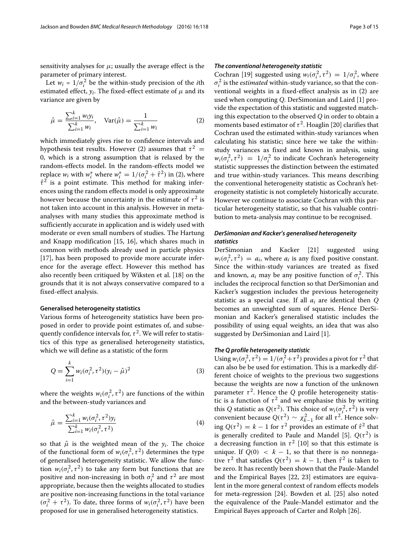sensitivity analyses for  $\mu$ ; usually the average effect is the parameter of primary interest.

Let  $w_i = 1/\sigma_i^2$  be the within-study precision of the *i*th estimated effect,  $y_i$ . The fixed-effect estimate of  $\mu$  and its variance are given by

<span id="page-2-0"></span>
$$
\hat{\mu} = \frac{\sum_{i=1}^{k} w_i y_i}{\sum_{i=1}^{k} w_i}, \quad \text{Var}(\hat{\mu}) = \frac{1}{\sum_{i=1}^{k} w_i}
$$
(2)

which immediately gives rise to confidence intervals and hypothesis test results. However [\(2\)](#page-2-0) assumes that  $\tau^2$  = 0, which is a strong assumption that is relaxed by the random-effects model. In the random-effects model we replace  $w_i$  with  $w_i^*$  where  $w_i^* = 1/(\sigma_i^2 + \hat{\tau}^2)$  in [\(2\)](#page-2-0), where  $\hat{\tau}^2$  is a point estimate. This method for making inferences using the random effects model is only approximate however because the uncertainty in the estimate of  $\tau^2$  is not taken into account in this analysis. However in metaanalyses with many studies this approximate method is sufficiently accurate in application and is widely used with moderate or even small numbers of studies. The Hartung and Knapp modification [\[15,](#page-14-6) [16\]](#page-14-7), which shares much in common with methods already used in particle physics [\[17\]](#page-14-8), has been proposed to provide more accurate inference for the average effect. However this method has also recently been critiqued by Wiksten et al. [\[18\]](#page-14-9) on the grounds that it is not always conservative compared to a fixed-effect analysis.

### **Generalised heterogeneity statistics**

Various forms of heterogeneity statistics have been proposed in order to provide point estimates of, and subsequently confidence intervals for,  $\tau^2$ . We will refer to statistics of this type as generalised heterogeneity statistics, which we will define as a statistic of the form

$$
Q = \sum_{i=1}^{k} w_i (\sigma_i^2, \tau^2) (y_i - \hat{\mu})^2
$$
 (3)

where the weights  $w_i(\sigma_i^2, \tau^2)$  are functions of the within and the between-study variances and

$$
\hat{\mu} = \frac{\sum_{i=1}^{k} w_i(\sigma_i^2, \tau^2) y_i}{\sum_{i=1}^{k} w_i(\sigma_i^2, \tau^2)}
$$
(4)

so that  $\hat{\mu}$  is the weighted mean of the  $y_i$ . The choice of the functional form of  $w_i(\sigma_i^2, \tau^2)$  determines the type of generalised heterogeneity statistic. We allow the function  $w_i(\sigma_i^2, \tau^2)$  to take any form but functions that are positive and non-increasing in both  $\sigma_i^2$  and  $\tau^2$  are most appropriate, because then the weights allocated to studies are positive non-increasing functions in the total variance  $(\sigma_i^2 + \tau^2)$ . To date, three forms of  $w_i(\sigma_i^2, \tau^2)$  have been proposed for use in generalised heterogeneity statistics.

# *The conventional heterogeneity statistic*

Cochran [\[19\]](#page-14-10) suggested using  $w_i(\sigma_i^2, \tau^2) = 1/\sigma_i^2$ , where  $\sigma_i^2$  is the *estimated* within-study variance, so that the conventional weights in a fixed-effect analysis as in [\(2\)](#page-2-0) are used when computing *Q*. DerSimonian and Laird [\[1\]](#page-13-0) provide the expectation of this statistic and suggested matching this expectation to the observed *Q* in order to obtain a moments based estimator of  $\tau^2$ . Hoaglin [\[20\]](#page-14-11) clarifies that Cochran used the estimated within-study variances when calculating his statistic; since here we take the withinstudy variances as fixed and known in analysis, using  $w_i(\sigma_i^2, \tau^2) = 1/\sigma_i^2$  to indicate Cochran's heterogeneity statistic suppresses the distinction between the estimated and true within-study variances. This means describing the conventional heterogeneity statistic as Cochran's heterogeneity statistic is not completely historically accurate. However we continue to associate Cochran with this particular heterogeneity statistic, so that his valuable contribution to meta-analysis may continue to be recognised.

# *DerSimonian and Kacker's generalised heterogeneity statistics*

DerSimonian and Kacker [\[21\]](#page-14-12) suggested using  $w_i(\sigma_i^2, \tau^2) = a_i$ , where  $a_i$  is any fixed positive constant. Since the within-study variances are treated as fixed and known,  $a_i$  may be any positive function of  $\sigma_i^2$ . This includes the reciprocal function so that DerSimonian and Kacker's suggestion includes the previous heterogeneity statistic as a special case. If all *ai* are identical then *Q* becomes an unweighted sum of squares. Hence DerSimonian and Kacker's generalised statistic includes the possibility of using equal weights, an idea that was also suggested by DerSimonian and Laird [\[1\]](#page-13-0).

# *The Q profile heterogeneity statistic*

Using  $w_i(\sigma_i^2, \tau^2) = 1/(\sigma_i^2 + \tau^2)$  provides a pivot for  $\tau^2$  that can also be be used for estimation. This is a markedly different choice of weights to the previous two suggestions because the weights are now a function of the unknown parameter  $\tau^2$ . Hence the *Q* profile heterogeneity statistic is a function of  $\tau^2$  and we emphasise this by writing this *Q* statistic as  $Q(\tau^2)$ . This choice of  $w_i(\sigma_i^2, \tau^2)$  is very convenient because  $Q(\tau^2) \sim \chi^2_{k-1}$  for all  $\tau^2$ . Hence solving  $Q(\tau^2) = k - 1$  for  $\tau^2$  provides an estimate of  $\hat{\tau}^2$  that is generally credited to Paule and Mandel [\[5\]](#page-13-3).  $Q(\tau^2)$  is a decreasing function in  $\tau^2$  [\[10\]](#page-14-1) so that this estimate is unique. If  $Q(0) < k - 1$ , so that there is no nonnegative  $\tau^2$  that satisfies  $O(\tau^2) = k - 1$ , then  $\hat{\tau}^2$  is taken to be zero. It has recently been shown that the Paule-Mandel and the Empirical Bayes [\[22,](#page-14-13) [23\]](#page-14-14) estimators are equivalent in the more general context of random effects models for meta-regression [\[24\]](#page-14-15). Bowden et al. [\[25\]](#page-14-16) also noted the equivalence of the Paule-Mandel estimator and the Empirical Bayes approach of Carter and Rolph [\[26\]](#page-14-17).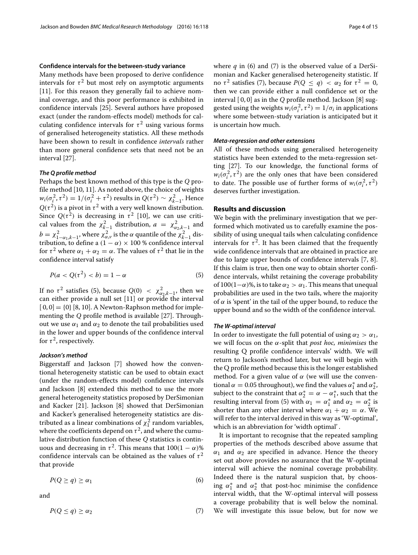# **Confidence intervals for the between-study variance**

Many methods have been proposed to derive confidence intervals for  $\tau^2$  but most rely on asymptotic arguments [\[11\]](#page-14-2). For this reason they generally fail to achieve nominal coverage, and this poor performance is exhibited in confidence intervals [\[25\]](#page-14-16). Several authors have proposed exact (under the random-effects model) methods for calculating confidence intervals for  $\tau^2$  using various forms of generalised heterogeneity statistics. All these methods have been shown to result in confidence *intervals* rather than more general confidence sets that need not be an interval [\[27\]](#page-14-18).

# *The Q profile method*

Perhaps the best known method of this type is the *Q* profile method [\[10,](#page-14-1) [11\]](#page-14-2). As noted above, the choice of weights  $w_i(\sigma_i^2, \tau^2) = 1/(\sigma_i^2 + \tau^2)$  results in  $Q(\tau^2) \sim \chi_{k-1}^2$ . Hence  $Q(\tau^2)$  is a pivot in  $\tau^2$  with a very well known distribution. Since  $Q(\tau^2)$  is decreasing in  $\tau^2$  [\[10\]](#page-14-1), we can use critical values from the  $\chi^2_{k-1}$  distribution,  $a = \chi^2_{\alpha_2, k-1}$  and  $b = \chi^2_{1-\alpha_1,k-1}$ , where  $\chi^2_{\alpha,\nu}$  is the  $\alpha$  quantile of the  $\chi^2_{k-1}$  distribution, to define a  $(1 - \alpha) \times 100$  % confidence interval for  $\tau^2$  where  $\alpha_1 + \alpha_2 = \alpha$ . The values of  $\tau^2$  that lie in the confidence interval satisfy

<span id="page-3-0"></span>
$$
P(a < Q(\tau^2) < b) = 1 - \alpha \tag{5}
$$

If no  $\tau^2$  satisfies [\(5\)](#page-3-0), because  $Q(0) < \chi^2_{\alpha_2,k-1}$ , then we can either provide a null set [\[11\]](#page-14-2) or provide the interval  $[0, 0] = \{0\}$  [\[8,](#page-13-6) [10\]](#page-14-1). A Newton-Raphson method for implementing the *Q* profile method is available [\[27\]](#page-14-18). Throughout we use  $\alpha_1$  and  $\alpha_2$  to denote the tail probabilities used in the lower and upper bounds of the confidence interval for  $\tau^2$ , respectively.

# *Jackson's method*

Biggerstaff and Jackson [\[7\]](#page-13-5) showed how the conventional heterogeneity statistic can be used to obtain exact (under the random-effects model) confidence intervals and Jackson [\[8\]](#page-13-6) extended this method to use the more general heterogeneity statistics proposed by DerSimonian and Kacker [\[21\]](#page-14-12). Jackson [\[8\]](#page-13-6) showed that DerSimonian and Kacker's generalised heterogeneity statistics are distributed as a linear combinations of  $\chi_1^2$  random variables, where the coefficients depend on  $\tau^2$ , and where the cumulative distribution function of these *Q* statistics is continuous and decreasing in  $\tau^2$ . This means that  $100(1 - \alpha)\%$ confidence intervals can be obtained as the values of  $\tau^2$ that provide

<span id="page-3-1"></span>
$$
P(Q \ge q) \ge \alpha_1 \tag{6}
$$

<span id="page-3-2"></span>and

$$
P(Q \le q) \ge \alpha_2 \tag{7}
$$

where  $q$  in [\(6\)](#page-3-1) and [\(7\)](#page-3-2) is the observed value of a DerSimonian and Kacker generalised heterogeneity statistic. If no  $\tau^2$  satisfies [\(7\)](#page-3-2), because  $P(Q \le q) < \alpha_2$  for  $\tau^2 = 0$ , then we can provide either a null confidence set or the interval [ 0, 0] as in the *Q* profile method. Jackson [\[8\]](#page-13-6) suggested using the weights  $w_i(\sigma_i^2, \tau^2) = 1/\sigma_i$  in applications where some between-study variation is anticipated but it is uncertain how much.

# *Meta-regression and other extensions*

All of these methods using generalised heterogeneity statistics have been extended to the meta-regression setting [\[27\]](#page-14-18). To our knowledge, the functional forms of  $w_i(\sigma_i^2, \tau^2)$  are the only ones that have been considered to date. The possible use of further forms of  $w_i(\sigma_i^2, \tau^2)$ deserves further investigation.

# **Results and discussion**

We begin with the preliminary investigation that we performed which motivated us to carefully examine the possibility of using unequal tails when calculating confidence intervals for  $\tau^2$ . It has been claimed that the frequently wide confidence intervals that are obtained in practice are due to large upper bounds of confidence intervals [\[7,](#page-13-5) [8\]](#page-13-6). If this claim is true, then one way to obtain shorter confidence intervals, whilst retaining the coverage probability of 100(1– $\alpha$ )%, is to take  $\alpha_2 > \alpha_1$ . This means that unequal probabilities are used in the two tails, where the majority of  $\alpha$  is 'spent' in the tail of the upper bound, to reduce the upper bound and so the width of the confidence interval.

# *The W-optimal interval*

In order to investigate the full potential of using  $\alpha_2 > \alpha_1$ , we will focus on the α-split that *post hoc, minimises* the resulting Q profile confidence intervals' width. We will return to Jackson's method later, but we will begin with the Q profile method because this is the longer established method. For a given value of  $\alpha$  (we will use the conventional  $\alpha = 0.05$  throughout), we find the values  $\alpha_1^*$  and  $\alpha_2^*$ , subject to the constraint that  $\alpha_2^* = \alpha - \alpha_1^*$ , such that the resulting interval from [\(5\)](#page-3-0) with  $\alpha_1 = \alpha_1^*$  and  $\alpha_2 = \alpha_2^*$  is shorter than any other interval where  $\alpha_1 + \alpha_2 = \alpha$ . We will refer to the interval derived in this way as 'W-optimal', which is an abbreviation for 'width optimal' .

It is important to recognise that the repeated sampling properties of the methods described above assume that  $\alpha_1$  and  $\alpha_2$  are specified in advance. Hence the theory set out above provides no assurance that the W-optimal interval will achieve the nominal coverage probability. Indeed there is the natural suspicion that, by choosing  $\alpha_1^*$  and  $\alpha_2^*$  that post-hoc minimise the confidence interval width, that the W-optimal interval will possess a coverage probability that is well below the nominal. We will investigate this issue below, but for now we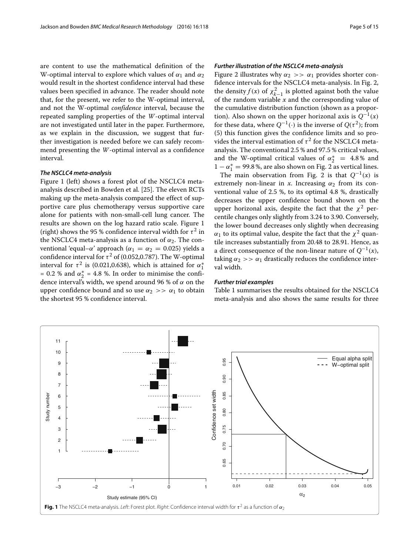are content to use the mathematical definition of the W-optimal interval to explore which values of  $\alpha_1$  and  $\alpha_2$ would result in the shortest confidence interval had these values been specified in advance. The reader should note that, for the present, we refer to the W-optimal interval, and not the W-optimal *confidence* interval, because the repeated sampling properties of the *W*-optimal interval are not investigated until later in the paper. Furthermore, as we explain in the discussion, we suggest that further investigation is needed before we can safely recommend presenting the *W*-optimal interval as a confidence interval.

# *The NSCLC4 meta-analysis*

Figure [1](#page-4-0) (left) shows a forest plot of the NSCLC4 metaanalysis described in Bowden et al. [\[25\]](#page-14-16). The eleven RCTs making up the meta-analysis compared the effect of supportive care plus chemotherapy versus supportive care alone for patients with non-small-cell lung cancer. The results are shown on the log hazard ratio scale. Figure [1](#page-4-0) (right) shows the 95 % confidence interval width for  $\tau^2$  in the NSCLC4 meta-analysis as a function of  $\alpha_2$ . The conventional 'equal–α' approach ( $\alpha_1 = \alpha_2 = 0.025$ ) yields a confidence interval for  $\tau^2$  of (0.052,0.787). The W-optimal interval for  $\tau^2$  is (0.021,0.638), which is attained for  $\alpha_1^*$ = 0.2 % and  $\alpha_2^*$  = 4.8 %. In order to minimise the confidence interval's width, we spend around 96 % of  $\alpha$  on the upper confidence bound and so use  $\alpha_2 >> \alpha_1$  to obtain the shortest 95 % confidence interval.

### *Further illustration of the NSCLC4 meta-analysis*

Figure [2](#page-5-0) illustrates why  $\alpha_2 \gg \alpha_1$  provides shorter confidence intervals for the NSCLC4 meta-analysis. In Fig. [2,](#page-5-0) the density *f*(*x*) of  $\chi^2_{k-1}$  is plotted against both the value of the random variable  $\bar{x}$  and the corresponding value of the cumulative distribution function (shown as a proportion). Also shown on the upper horizonal axis is  $Q^{-1}(x)$ for these data, where  $Q^{-1}(\cdot)$  is the inverse of  $Q(\tau^2)$ ; from [\(5\)](#page-3-0) this function gives the confidence limits and so provides the interval estimation of  $\tau^2$  for the NSCLC4 metaanalysis. The conventional 2.5 % and 97.5 % critical values, and the W-optimal critical values of  $\alpha_2^* = 4.8\%$  and  $1 - \alpha_1^* = 99.8$  %, are also shown on Fig. [2](#page-5-0) as vertical lines.

The main observation from Fig. [2](#page-5-0) is that  $Q^{-1}(x)$  is extremely non-linear in  $x$ . Increasing  $\alpha_2$  from its conventional value of 2.5 %, to its optimal 4.8 %, drastically decreases the upper confidence bound shown on the upper horizonal axis, despite the fact that the  $\chi^2$  percentile changes only slightly from 3.24 to 3.90. Conversely, the lower bound decreases only slightly when decreasing  $\alpha_1$  to its optimal value, despite the fact that the  $\chi^2$  quantile increases substantially from 20.48 to 28.91. Hence, as a direct consequence of the non-linear nature of  $Q^{-1}(x)$ , taking  $\alpha_2 >> \alpha_1$  drastically reduces the confidence interval width.

# *Further trial examples*

Table [1](#page-5-1) summarises the results obtained for the NSCLC4 meta-analysis and also shows the same results for three

<span id="page-4-0"></span>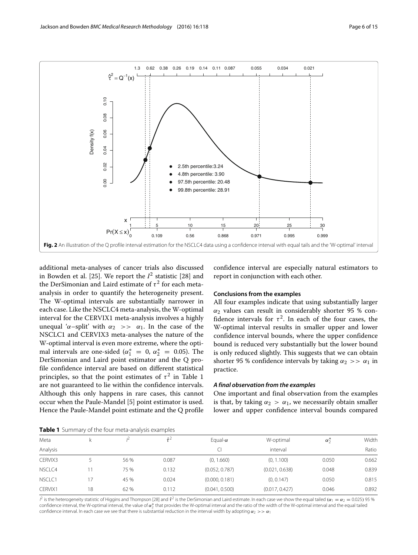

<span id="page-5-0"></span>additional meta-analyses of cancer trials also discussed in Bowden et al. [\[25\]](#page-14-16). We report the  $I^2$  statistic [\[28\]](#page-14-19) and the DerSimonian and Laird estimate of  $\tau^2$  for each metaanalysis in order to quantify the heterogeneity present. The W-optimal intervals are substantially narrower in each case. Like the NSCLC4 meta-analysis, the W-optimal interval for the CERVIX1 meta-analysis involves a highly unequal ' $\alpha$ -split' with  $\alpha_2 \gg \alpha_1$ . In the case of the NSCLC1 and CERVIX3 meta-analyses the nature of the W-optimal interval is even more extreme, where the optimal intervals are one-sided ( $\alpha_1^* = 0$ ,  $\alpha_2^* = 0.05$ ). The DerSimonian and Laird point estimator and the Q profile confidence interval are based on different statistical principles, so that the point estimates of  $\tau^2$  in Table [1](#page-5-1) are not guaranteed to lie within the confidence intervals. Although this only happens in rare cases, this cannot occur when the Paule-Mandel [\[5\]](#page-13-3) point estimator is used. Hence the Paule-Mandel point estimate and the Q profile confidence interval are especially natural estimators to report in conjunction with each other.

# **Conclusions from the examples**

All four examples indicate that using substantially larger  $\alpha_2$  values can result in considerably shorter 95 % confidence intervals for  $\tau^2$ . In each of the four cases, the W-optimal interval results in smaller upper and lower confidence interval bounds, where the upper confidence bound is reduced very substantially but the lower bound is only reduced slightly. This suggests that we can obtain shorter 95 % confidence intervals by taking  $\alpha_2 >> \alpha_1$  in practice.

### *A final observation from the examples*

One important and final observation from the examples is that, by taking  $\alpha_2 > \alpha_1$ , we necessarily obtain smaller lower and upper confidence interval bounds compared

**Table 1** Summary of the four meta-analysis examples

<span id="page-5-1"></span>

| Meta     |    |      | $\hat{z}^2$ | Equal- $\alpha$ | W-optimal      | $\alpha_{2}^{*}$ | Width |
|----------|----|------|-------------|-----------------|----------------|------------------|-------|
| Analysis |    |      |             |                 | interval       |                  | Ratio |
| CERVIX3  |    | 56 % | 0.087       | (0, 1.660)      | (0, 1.100)     | 0.050            | 0.662 |
| NSCLC4   |    | 75 % | 0.132       | (0.052, 0.787)  | (0.021, 0.638) | 0.048            | 0.839 |
| NSCLC1   | 17 | 45 % | 0.024       | (0.000, 0.181)  | (0, 0.147)     | 0.050            | 0.815 |
| CERVIX1  | 18 | 62 % | 0.112       | (0.041, 0.500)  | (0.017, 0.427) | 0.046            | 0.892 |

 $l^2$  is the heterogeneity statistic of Higgins and Thompson [\[28\]](#page-14-19) and  $t^2$  is the DerSimonian and Laird estimate. In each case we show the equal tailed ( $\alpha_1 = \alpha_2 = 0.025$ ) 95 % confidence interval, the W-optimal interval, the value of  $\alpha_2^*$  that provides the W-optimal interval and the ratio of the width of the W-optimal interval and the equal tailed confidence interval. In each case we see that there is substantial reduction in the interval width by adopting  $\alpha_2 >> \alpha_1$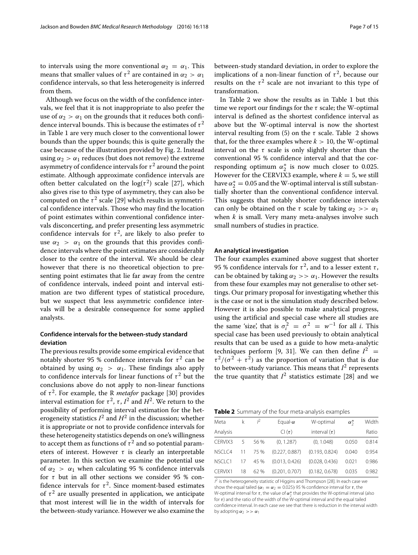to intervals using the more conventional  $\alpha_2 = \alpha_1$ . This means that smaller values of  $\tau^2$  are contained in  $\alpha_2 > \alpha_1$ confidence intervals, so that less heterogeneity is inferred from them.

Although we focus on the width of the confidence intervals, we feel that it is not inappropriate to also prefer the use of  $\alpha_2 > \alpha_1$  on the grounds that it reduces both confidence interval bounds. This is because the estimates of  $\tau^2$ in Table [1](#page-5-1) are very much closer to the conventional lower bounds than the upper bounds; this is quite generally the case because of the illustration provided by Fig. [2.](#page-5-0) Instead using  $\alpha_2 > \alpha_1$  reduces (but does not remove) the extreme asymmetry of confidence intervals for  $\tau^2$  around the point estimate. Although approximate confidence intervals are often better calculated on the  $log(\tau^2)$  scale [\[27\]](#page-14-18), which also gives rise to this type of asymmetry, they can also be computed on the  $\tau^2$  scale [\[29\]](#page-14-20) which results in symmetrical confidence intervals. Those who may find the location of point estimates within conventional confidence intervals disconcerting, and prefer presenting less asymmetric confidence intervals for  $\tau^2$ , are likely to also prefer to use  $\alpha_2 > \alpha_1$  on the grounds that this provides confidence intervals where the point estimates are considerably closer to the centre of the interval. We should be clear however that there is no theoretical objection to presenting point estimates that lie far away from the centre of confidence intervals, indeed point and interval estimation are two different types of statistical procedure, but we suspect that less asymmetric confidence intervals will be a desirable consequence for some applied analysts.

# **Confidence intervals for the between-study standard deviation**

The previous results provide some empirical evidence that notably shorter 95 % confidence intervals for  $\tau^2$  can be obtained by using  $\alpha_2 > \alpha_1$ . These findings also apply to confidence intervals for linear functions of  $\tau^2$  but the conclusions above do not apply to non-linear functions of  $\tau^2$ . For example, the R *metafor* package [\[30\]](#page-14-21) provides interval estimation for  $\tau^2$ ,  $\tau$ ,  $I^2$  and  $H^2$ . We return to the possibility of performing interval estimation for the heterogeneity statistics  $I^2$  and  $H^2$  in the discussion; whether it is appropriate or not to provide confidence intervals for these heterogeneity statistics depends on one's willingness to accept them as functions of  $\tau^2$  and so potential parameters of interest. However  $\tau$  is clearly an interpretable parameter. In this section we examine the potential use of  $\alpha_2 > \alpha_1$  when calculating 95 % confidence intervals for  $\tau$  but in all other sections we consider 95 % confidence intervals for  $\tau^2$ . Since moment-based estimates of  $\tau^2$  are usually presented in application, we anticipate that most interest will lie in the width of intervals for the between-study variance. However we also examine the between-study standard deviation, in order to explore the implications of a non-linear function of  $\tau^2$ , because our results on the  $\tau^2$  scale are not invariant to this type of transformation.

In Table [2](#page-6-0) we show the results as in Table [1](#page-5-1) but this time we report our findings for the  $\tau$  scale; the W-optimal interval is defined as the shortest confidence interval as above but the W-optimal interval is now the shortest interval resulting from [\(5\)](#page-3-0) on the  $\tau$  scale. Table [2](#page-6-0) shows that, for the three examples where  $k > 10$ , the W-optimal interval on the  $\tau$  scale is only slightly shorter than the conventional 95 % confidence interval and that the corresponding optimum  $\alpha_2^*$  is now much closer to 0.025. However for the CERVIX3 example, where  $k = 5$ , we still have  $\alpha_2^*=0.05$  and the W-optimal interval is still substantially shorter than the conventional confidence interval. This suggests that notably shorter confidence intervals can only be obtained on the  $\tau$  scale by taking  $\alpha_2 >> \alpha_1$ when *k* is small. Very many meta-analyses involve such small numbers of studies in practice.

### **An analytical investigation**

The four examples examined above suggest that shorter 95 % confidence intervals for  $\tau^2$ , and to a lesser extent  $\tau$ , can be obtained by taking  $\alpha_2 >> \alpha_1$ . However the results from these four examples may not generalise to other settings. Our primary proposal for investigating whether this is the case or not is the simulation study described below. However it is also possible to make analytical progress, using the artificial and special case where all studies are the same 'size', that is  $\sigma_i^2 = \sigma^2 = w^{-1}$  for all *i*. This special case has been used previously to obtain analytical results that can be used as a guide to how meta-analytic techniques perform [\[9,](#page-14-0) [31\]](#page-14-22). We can then define  $I^2$  =  $\tau^2/(\sigma^2 + \tau^2)$  as the proportion of variation that is due to between-study variance. This means that  $I^2$  represents the true quantity that  $I^2$  statistics estimate [\[28\]](#page-14-19) and we

|  | Table 2 Summary of the four meta-analysis examples |  |
|--|----------------------------------------------------|--|
|--|----------------------------------------------------|--|

<span id="page-6-0"></span>

| Width |
|-------|
| Ratio |
| 0.814 |
| 0.954 |
| 0.986 |
| 0.982 |
|       |

 $I^2$  is the heterogeneity statistic of Higgins and Thompson [\[28\]](#page-14-19). In each case we show the equal tailed ( $\alpha_1 = \alpha_2 = 0.025$ ) 95 % confidence interval for  $\tau$ , the W-optimal interval for  $\tau$ , the value of  $\alpha_2^*$  that provides the W-optimal interval (also for  $\tau$ ) and the ratio of the width of the W-optimal interval and the equal tailed confidence interval. In each case we see that there is reduction in the interval width by adopting  $\alpha_2 >> \alpha_1$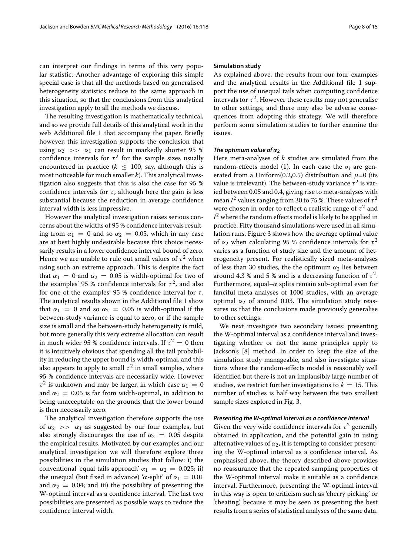can interpret our findings in terms of this very popular statistic. Another advantage of exploring this simple special case is that all the methods based on generalised heterogeneity statistics reduce to the same approach in this situation, so that the conclusions from this analytical investigation apply to all the methods we discuss.

The resulting investigation is mathematically technical, and so we provide full details of this analytical work in the web Additional file [1](#page-13-7) that accompany the paper. Briefly however, this investigation supports the conclusion that using  $\alpha_2 \gg \alpha_1$  can result in markedly shorter 95 % confidence intervals for  $\tau^2$  for the sample sizes usually encountered in practice ( $k \leq 100$ , say, although this is most noticeable for much smaller *k*). This analytical investigation also suggests that this is also the case for 95 % confidence intervals for  $\tau$ , although here the gain is less substantial because the reduction in average confidence interval width is less impressive.

However the analytical investigation raises serious concerns about the widths of 95 % confidence intervals resulting from  $\alpha_1 = 0$  and so  $\alpha_2 = 0.05$ , which in any case are at best highly undesirable because this choice necessarily results in a lower confidence interval bound of zero. Hence we are unable to rule out small values of  $\tau^2$  when using such an extreme approach. This is despite the fact that  $\alpha_1 = 0$  and  $\alpha_2 = 0.05$  is width-optimal for two of the examples' 95 % confidence intervals for  $\tau^2$ , and also for one of the examples' 95 % confidence interval for  $\tau$ . The analytical results shown in the Additional file [1](#page-13-7) show that  $\alpha_1 = 0$  and so  $\alpha_2 = 0.05$  is width-optimal if the between-study variance is equal to zero, or if the sample size is small and the between-study heterogeneity is mild, but more generally this very extreme allocation can result in much wider 95 % confidence intervals. If  $\tau^2 = 0$  then it is intuitively obvious that spending all the tail probability in reducing the upper bound is width-optimal, and this also appears to apply to small  $\tau^2$  in small samples, where 95 % confidence intervals are necessarily wide. However  $\tau^2$  is unknown and may be larger, in which case  $\alpha_1 = 0$ and  $\alpha_2 = 0.05$  is far from width-optimal, in addition to being unacceptable on the grounds that the lower bound is then necessarily zero.

The analytical investigation therefore supports the use of  $\alpha_2 \gg \alpha_1$  as suggested by our four examples, but also strongly discourages the use of  $\alpha_2 = 0.05$  despite the empirical results. Motivated by our examples and our analytical investigation we will therefore explore three possibilities in the simulation studies that follow: i) the conventional 'equal tails approach'  $\alpha_1 = \alpha_2 = 0.025$ ; ii) the unequal (but fixed in advance) ' $\alpha$ -split' of  $\alpha_1 = 0.01$ and  $\alpha_2 = 0.04$ ; and iii) the possibility of presenting the W-optimal interval as a confidence interval. The last two possibilities are presented as possible ways to reduce the confidence interval width.

### **Simulation study**

As explained above, the results from our four examples and the analytical results in the Additional file [1](#page-13-7) support the use of unequal tails when computing confidence intervals for  $\tau^2$ . However these results may not generalise to other settings, and there may also be adverse consequences from adopting this strategy. We will therefore perform some simulation studies to further examine the issues.

### *The optimum value of*  $α<sub>2</sub>$

Here meta-analyses of *k* studies are simulated from the random-effects model [\(1\)](#page-1-0). In each case the  $\sigma_i$  are generated from a Uniform(0.2,0.5) distribution and  $\mu$ =0 (its value is irrelevant). The between-study variance  $\tau^2$  is varied between 0.05 and 0.4, giving rise to meta-analyses with mean  $I^2$  values ranging from 30 to 75 %. These values of  $\tau^2$ were chosen in order to reflect a realistic range of  $\tau^2$  and  $I<sup>2</sup>$  where the random effects model is likely to be applied in practice. Fifty thousand simulations were used in all simulation runs. Figure [3](#page-8-0) shows how the average optimal value of  $\alpha_2$  when calculating 95 % confidence intervals for  $\tau^2$ varies as a function of study size and the amount of heterogeneity present. For realistically sized meta-analyses of less than 30 studies, the the optimum  $\alpha_2$  lies between around 4.3 % and 5 % and is a decreasing function of  $\tau^2$ . Furthermore, equal– $\alpha$  splits remain sub-optimal even for fanciful meta-analyses of 1000 studies, with an average optimal  $\alpha_2$  of around 0.03. The simulation study reassures us that the conclusions made previously generalise to other settings.

We next investigate two secondary issues: presenting the W-optimal interval as a confidence interval and investigating whether or not the same principles apply to Jackson's [\[8\]](#page-13-6) method. In order to keep the size of the simulation study manageable, and also investigate situations where the random-effects model is reasonably well identified but there is not an implausibly large number of studies, we restrict further investigations to  $k = 15$ . This number of studies is half way between the two smallest sample sizes explored in Fig. [3.](#page-8-0)

# *Presenting the W-optimal interval as a confidence interval*

Given the very wide confidence intervals for  $\tau^2$  generally obtained in application, and the potential gain in using alternative values of  $\alpha_2$ , it is tempting to consider presenting the W-optimal interval as a confidence interval. As emphasised above, the theory described above provides no reassurance that the repeated sampling properties of the W-optimal interval make it suitable as a confidence interval. Furthermore, presenting the W-optimal interval in this way is open to criticism such as 'cherry picking' or 'cheating', because it may be seen as presenting the best results from a series of statistical analyses of the same data.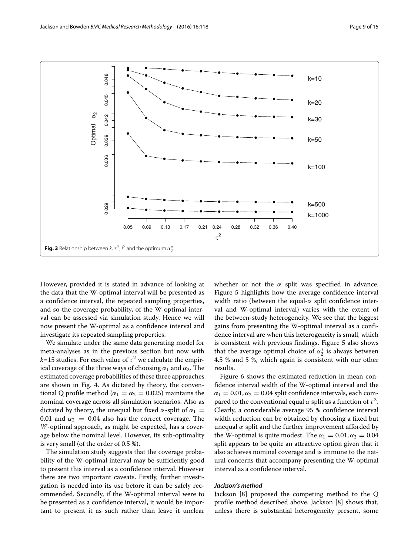

<span id="page-8-0"></span>However, provided it is stated in advance of looking at the data that the W-optimal interval will be presented as a confidence interval, the repeated sampling properties, and so the coverage probability, of the W-optimal interval can be assessed via simulation study. Hence we will now present the W-optimal as a confidence interval and investigate its repeated sampling properties.

We simulate under the same data generating model for meta-analyses as in the previous section but now with  $k=15$  studies. For each value of  $\tau^2$  we calculate the empirical coverage of the three ways of choosing  $\alpha_1$  and  $\alpha_2$ . The estimated coverage probabilities of these three approaches are shown in Fig. [4.](#page-9-0) As dictated by theory, the conventional Q profile method ( $\alpha_1 = \alpha_2 = 0.025$ ) maintains the nominal coverage across all simulation scenarios. Also as dictated by theory, the unequal but fixed  $\alpha$ -split of  $\alpha_1$  = 0.01 and  $\alpha_2 = 0.04$  also has the correct coverage. The *W*-optimal approach, as might be expected, has a coverage below the nominal level. However, its sub-optimality is very small (of the order of 0.5 %).

The simulation study suggests that the coverage probability of the W-optimal interval may be sufficiently good to present this interval as a confidence interval. However there are two important caveats. Firstly, further investigation is needed into its use before it can be safely recommended. Secondly, if the W-optimal interval were to be presented as a confidence interval, it would be important to present it as such rather than leave it unclear whether or not the  $\alpha$  split was specified in advance. Figure [5](#page-9-1) highlights how the average confidence interval width ratio (between the equal- $\alpha$  split confidence interval and W-optimal interval) varies with the extent of the between-study heterogeneity. We see that the biggest gains from presenting the W-optimal interval as a confidence interval are when this heterogeneity is small, which is consistent with previous findings. Figure [5](#page-9-1) also shows that the average optimal choice of  $\alpha_2^*$  is always between 4.5 % and 5 %, which again is consistent with our other results.

Figure [6](#page-10-0) shows the estimated reduction in mean confidence interval width of the W-optimal interval and the  $\alpha_1 = 0.01, \alpha_2 = 0.04$  split confidence intervals, each compared to the conventional equal  $\alpha$  split as a function of  $\tau^2$ . Clearly, a considerable average 95 % confidence interval width reduction can be obtained by choosing a fixed but unequal  $\alpha$  split and the further improvement afforded by the W-optimal is quite modest. The  $\alpha_1 = 0.01, \alpha_2 = 0.04$ split appears to be quite an attractive option given that it also achieves nominal coverage and is immune to the natural concerns that accompany presenting the W-optimal interval as a confidence interval.

# *Jackson's method*

Jackson [\[8\]](#page-13-6) proposed the competing method to the Q profile method described above. Jackson [\[8\]](#page-13-6) shows that, unless there is substantial heterogeneity present, some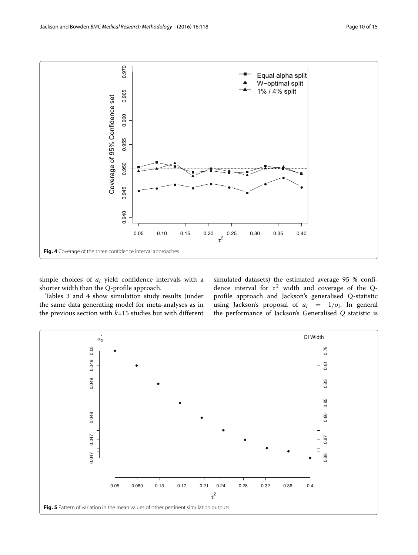

<span id="page-9-0"></span>simple choices of *ai* yield confidence intervals with a shorter width than the Q-profile approach.

Tables [3](#page-10-1) and [4](#page-11-0) show simulation study results (under the same data generating model for meta-analyses as in the previous section with *k*=15 studies but with different simulated datasets) the estimated average 95 % confidence interval for  $\tau^2$  width and coverage of the Qprofile approach and Jackson's generalised Q-statistic using Jackson's proposal of  $a_i = 1/\sigma_i$ . In general the performance of Jackson's Generalised *Q* statistic is

<span id="page-9-1"></span>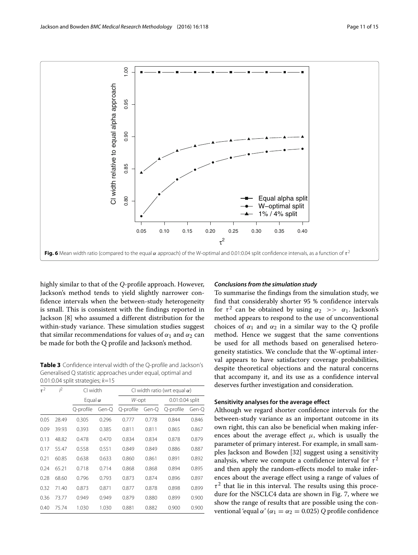

<span id="page-10-0"></span>highly similar to that of the *Q*-profile approach. However, Jackson's method tends to yield slightly narrower confidence intervals when the between-study heterogeneity is small. This is consistent with the findings reported in Jackson [\[8\]](#page-13-6) who assumed a different distribution for the within-study variance. These simulation studies suggest that similar recommendations for values of  $\alpha_1$  and  $\alpha_2$  can be made for both the Q profile and Jackson's method.

<span id="page-10-1"></span>**Table 3** Confidence interval width of the Q-profile and Jackson's Generalised Q statistic approaches under equal, optimal and 0.01:0.04 split strategies;  $k=15$ 

| $\tau^2$ | j2    | CI width       |       | CI width ratio (wrt equal $\alpha$ ) |       |                 |       |
|----------|-------|----------------|-------|--------------------------------------|-------|-----------------|-------|
|          |       | Equal $\alpha$ |       | W-opt                                |       | 0.01:0.04 split |       |
|          |       | Q-profile      | Gen-Q | Q-profile                            | Gen-Q | Q-profile       | Gen-O |
| 0.05     | 28.49 | 0.305          | 0.296 | 0.777                                | 0.778 | 0.844           | 0.846 |
| 0.09     | 39.93 | 0.393          | 0.385 | 0.811                                | 0.811 | 0.865           | 0.867 |
| 0.13     | 48.82 | 0.478          | 0.470 | 0.834                                | 0.834 | 0.878           | 0.879 |
| 0.17     | 55.47 | 0.558          | 0.551 | 0.849                                | 0.849 | 0.886           | 0.887 |
| 0.21     | 60.85 | 0.638          | 0.633 | 0.860                                | 0.861 | 0.891           | 0.892 |
| 0.24     | 65.21 | 0.718          | 0.714 | 0.868                                | 0.868 | 0.894           | 0.895 |
| 0.28     | 68.60 | 0.796          | 0.793 | 0.873                                | 0.874 | 0.896           | 0.897 |
| 0.32     | 71.40 | 0.873          | 0.871 | 0.877                                | 0.878 | 0.898           | 0.899 |
| 0.36     | 73.77 | 0.949          | 0.949 | 0.879                                | 0.880 | 0.899           | 0.900 |
| 0.40     | 75.74 | 1.030          | 1.030 | 0.881                                | 0.882 | 0.900           | 0.900 |

### *Conclusions from the simulation study*

To summarise the findings from the simulation study, we find that considerably shorter 95 % confidence intervals for  $\tau^2$  can be obtained by using  $\alpha_2 \gg \alpha_1$ . Jackson's method appears to respond to the use of unconventional choices of  $\alpha_1$  and  $\alpha_2$  in a similar way to the Q profile method. Hence we suggest that the same conventions be used for all methods based on generalised heterogeneity statistics. We conclude that the W-optimal interval appears to have satisfactory coverage probabilities, despite theoretical objections and the natural concerns that accompany it, and its use as a confidence interval deserves further investigation and consideration.

# **Sensitivity analyses for the average effect**

Although we regard shorter confidence intervals for the between-study variance as an important outcome in its own right, this can also be beneficial when making inferences about the average effect  $\mu$ , which is usually the parameter of primary interest. For example, in small samples Jackson and Bowden [\[32\]](#page-14-23) suggest using a sensitivity analysis, where we compute a confidence interval for  $\tau^2$ and then apply the random-effects model to make inferences about the average effect using a range of values of  $\tau^2$  that lie in this interval. The results using this procedure for the NSCLC4 data are shown in Fig. [7,](#page-11-1) where we show the range of results that are possible using the conventional 'equal  $\alpha'$  ( $\alpha_1 = \alpha_2 = 0.025$ ) *Q* profile confidence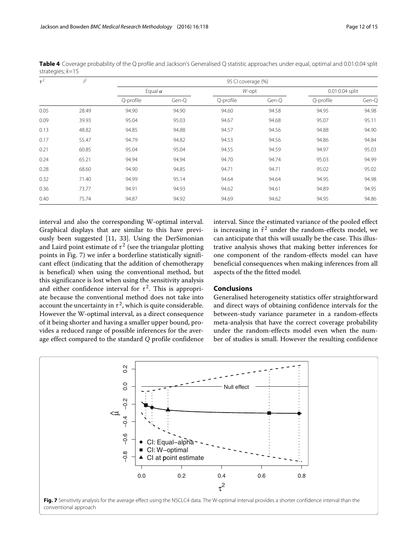| $\tau^2$ | $l^2$ | 95 CI coverage (%) |       |           |       |                 |       |  |
|----------|-------|--------------------|-------|-----------|-------|-----------------|-------|--|
|          |       | Equal $\alpha$     |       | W-opt     |       | 0.01:0.04 split |       |  |
|          |       | Q-profile          | Gen-Q | Q-profile | Gen-Q | Q-profile       | Gen-Q |  |
| 0.05     | 28.49 | 94.90              | 94.90 | 94.60     | 94.58 | 94.95           | 94.98 |  |
| 0.09     | 39.93 | 95.04              | 95.03 | 94.67     | 94.68 | 95.07           | 95.11 |  |
| 0.13     | 48.82 | 94.85              | 94.88 | 94.57     | 94.56 | 94.88           | 94.90 |  |
| 0.17     | 55.47 | 94.79              | 94.82 | 94.53     | 94.56 | 94.86           | 94.84 |  |
| 0.21     | 60.85 | 95.04              | 95.04 | 94.55     | 94.59 | 94.97           | 95.03 |  |
| 0.24     | 65.21 | 94.94              | 94.94 | 94.70     | 94.74 | 95.03           | 94.99 |  |
| 0.28     | 68.60 | 94.90              | 94.85 | 94.71     | 94.71 | 95.02           | 95.02 |  |
| 0.32     | 71.40 | 94.99              | 95.14 | 94.64     | 94.64 | 94.95           | 94.98 |  |
| 0.36     | 73.77 | 94.91              | 94.93 | 94.62     | 94.61 | 94.89           | 94.95 |  |
| 0.40     | 75.74 | 94.87              | 94.92 | 94.69     | 94.62 | 94.95           | 94.86 |  |

<span id="page-11-0"></span>Table 4 Coverage probability of the Q profile and Jackson's Generalised Q statistic approaches under equal, optimal and 0.01:0.04 split strategies; k=15

interval and also the corresponding W-optimal interval. Graphical displays that are similar to this have previously been suggested [\[11,](#page-14-2) [33\]](#page-14-24). Using the DerSimonian and Laird point estimate of  $\tau^2$  (see the triangular plotting points in Fig. [7\)](#page-11-1) we infer a borderline statistically significant effect (indicating that the addition of chemotherapy is benefical) when using the conventional method, but this significance is lost when using the sensitivity analysis and either confidence interval for  $\tau^2$ . This is appropriate because the conventional method does not take into account the uncertainty in  $\tau^2$ , which is quite considerable. However the W-optimal interval, as a direct consequence of it being shorter and having a smaller upper bound, provides a reduced range of possible inferences for the average effect compared to the standard *Q* profile confidence interval. Since the estimated variance of the pooled effect is increasing in  $\hat{\tau}^2$  under the random-effects model, we can anticipate that this will usually be the case. This illustrative analysis shows that making better inferences for one component of the random-effects model can have beneficial consequences when making inferences from all aspects of the the fitted model.

# **Conclusions**

Generalised heterogeneity statistics offer straightforward and direct ways of obtaining confidence intervals for the between-study variance parameter in a random-effects meta-analysis that have the correct coverage probability under the random-effects model even when the number of studies is small. However the resulting confidence

<span id="page-11-1"></span>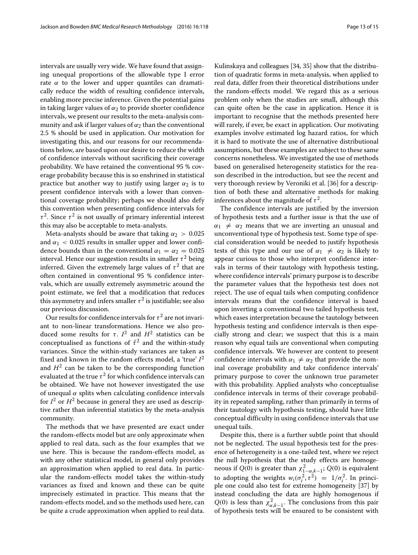intervals are usually very wide. We have found that assigning unequal proportions of the allowable type I error rate  $\alpha$  to the lower and upper quantiles can dramatically reduce the width of resulting confidence intervals, enabling more precise inference. Given the potential gains in taking larger values of  $\alpha_2$  to provide shorter confidence intervals, we present our results to the meta-analysis community and ask if larger values of  $\alpha_2$  than the conventional 2.5 % should be used in application. Our motivation for investigating this, and our reasons for our recommendations below, are based upon our desire to reduce the width of confidence intervals without sacrificing their coverage probability. We have retained the conventional 95 % coverage probability because this is so enshrined in statistical practice but another way to justify using larger  $\alpha_2$  is to present confidence intervals with a lower than conventional coverage probability; perhaps we should also defy this convention when presenting confidence intervals for  $\tau^2$ . Since  $\tau^2$  is not usually of primary inferential interest this may also be acceptable to meta-analysts.

Meta-analysts should be aware that taking  $\alpha_2 > 0.025$ and  $\alpha_1$  < 0.025 results in smaller upper and lower confidence bounds than in the conventional  $\alpha_1 = \alpha_2 = 0.025$ interval. Hence our suggestion results in smaller  $\tau^2$  being inferred. Given the extremely large values of  $\tau^2$  that are often contained in conventional 95 % confidence intervals, which are usually extremely asymmetric around the point estimate, we feel that a modification that reduces this asymmetry and infers smaller  $\tau^2$  is justifiable; see also our previous discussion.

Our results for confidence intervals for  $\tau^2$  are not invariant to non-linear transformations. Hence we also produced some results for  $\tau$ .  $I^2$  and  $H^2$  statistics can be conceptualised as functions of  $\hat{\tau}^2$  and the within-study variances. Since the within-study variances are taken as fixed and known in the random effects model, a 'true' *I*<sup>2</sup> and  $H^2$  can be taken to be the corresponding function evaluated at the true  $\tau^2$  for which confidence intervals can be obtained. We have not however investigated the use of unequal  $\alpha$  splits when calculating confidence intervals for  $I^2$  or  $H^2$  because in general they are used as descriptive rather than inferential statistics by the meta-analysis community.

The methods that we have presented are exact under the random-effects model but are only approximate when applied to real data, such as the four examples that we use here. This is because the random-effects model, as with any other statistical model, in general only provides an approximation when applied to real data. In particular the random-effects model takes the within-study variances as fixed and known and these can be quite imprecisely estimated in practice. This means that the random-effects model, and so the methods used here, can be quite a crude approximation when applied to real data. Kulinskaya and colleagues [\[34,](#page-14-25) [35\]](#page-14-26) show that the distribution of quadratic forms in meta-analysis, when applied to real data, differ from their theoretical distributions under the random-effects model. We regard this as a serious problem only when the studies are small, although this can quite often be the case in application. Hence it is important to recognise that the methods presented here will rarely, if ever, be exact in application. Our motivating examples involve estimated log hazard ratios, for which it is hard to motivate the use of alternative distributional assumptions, but these examples are subject to these same concerns nonetheless. We investigated the use of methods based on generalised heterogeneity statistics for the reason described in the introduction, but see the recent and very thorough review by Veroniki et al. [\[36\]](#page-14-27) for a description of both these and alternative methods for making inferences about the magnitude of  $\tau^2$ .

The confidence intervals are justified by the inversion of hypothesis tests and a further issue is that the use of  $\alpha_1 \neq \alpha_2$  means that we are inverting an unusual and unconventional type of hypothesis test. Some type of special consideration would be needed to justify hypothesis tests of this type and our use of  $\alpha_1 \neq \alpha_2$  is likely to appear curious to those who interpret confidence intervals in terms of their tautology with hypothesis testing, where confidence intervals' primary purpose is to describe the parameter values that the hypothesis test does not reject. The use of equal tails when computing confidence intervals means that the confidence interval is based upon inverting a conventional two tailed hypothesis test, which eases interpretation because the tautology between hypothesis testing and confidence intervals is then especially strong and clear; we suspect that this is a main reason why equal tails are conventional when computing confidence intervals. We however are content to present confidence intervals with  $\alpha_1 \neq \alpha_2$  that provide the nominal coverage probability and take confidence intervals' primary purpose to cover the unknown true parameter with this probability. Applied analysts who conceptualise confidence intervals in terms of their coverage probability in repeated sampling, rather than primarily in terms of their tautology with hypothesis testing, should have little conceptual difficulty in using confidence intervals that use unequal tails.

Despite this, there is a further subtle point that should not be neglected. The usual hypothesis test for the presence of heterogeneity is a one-tailed test, where we reject the null hypothesis that the study effects are homogeneous if  $Q(0)$  is greater than  $\chi^2_{1-\alpha,k-1}$ ;  $Q(0)$  is equivalent to adopting the weights  $w_i(\sigma_i^2, \tau^2) = 1/\sigma_i^2$ . In principle one could also test for extreme homogeneity [\[37\]](#page-14-28) by instead concluding the data are highly homogenous if  $Q(0)$  is less than  $\chi^2_{\alpha,k-1}$ . The conclusions from this pair of hypothesis tests will be ensured to be consistent with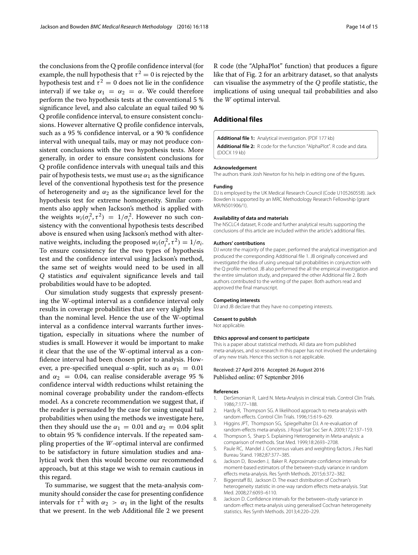the conclusions from the Q profile confidence interval (for example, the null hypothesis that  $\tau^2 = 0$  is rejected by the hypothesis test and  $\tau^2 = 0$  does not lie in the confidence interval) if we take  $\alpha_1 = \alpha_2 = \alpha$ . We could therefore perform the two hypothesis tests at the conventional 5 % significance level, and also calculate an equal tailed 90 % Q profile confidence interval, to ensure consistent conclusions. However alternative Q profile confidence intervals, such as a 95 % confidence interval, or a 90 % confidence interval with unequal tails, may or may not produce consistent conclusions with the two hypothesis tests. More generally, in order to ensure consistent conclusions for Q profile confidence intervals with unequal tails and this pair of hypothesis tests, we must use  $\alpha_1$  as the significance level of the conventional hypothesis test for the presence of heterogeneity and  $\alpha_2$  as the significance level for the hypothesis test for extreme homogeneity. Similar comments also apply when Jackson's method is applied with the weights  $w_i(\sigma_i^2, \tau^2) = 1/\sigma_i^2$ . However no such consistency with the conventional hypothesis tests described above is ensured when using Jackson's method with alternative weights, including the proposed  $w_i(\sigma_i^2, \tau^2) = 1/\sigma_i$ . To ensure consistency for the two types of hypothesis test and the confidence interval using Jackson's method, the same set of weights would need to be used in all *Q* statistics *and* equivalent significance levels and tail probabilities would have to be adopted.

Our simulation study suggests that expressly presenting the W-optimal interval as a confidence interval only results in coverage probabilities that are very slightly less than the nominal level. Hence the use of the W-optimal interval as a confidence interval warrants further investigation, especially in situations where the number of studies is small. However it would be important to make it clear that the use of the W-optimal interval as a confidence interval had been chosen prior to analysis. However, a pre-specified unequal  $\alpha$ -split, such as  $\alpha_1 = 0.01$ and  $\alpha_2$  = 0.04, can realise considerable average 95 % confidence interval width reductions whilst retaining the nominal coverage probability under the random-effects model. As a concrete recommendation we suggest that, if the reader is persuaded by the case for using unequal tail probabilities when using the methods we investigate here, then they should use the  $\alpha_1 = 0.01$  and  $\alpha_2 = 0.04$  split to obtain 95 % confidence intervals. If the repeated sampling properties of the *W*-optimal interval are confirmed to be satisfactory in future simulation studies and analytical work then this would become our recommended approach, but at this stage we wish to remain cautious in this regard.

To summarise, we suggest that the meta-analysis community should consider the case for presenting confidence intervals for  $\tau^2$  with  $\alpha_2 > \alpha_1$  in the light of the results that we present. In the web Additional file [2](#page-13-8) we present R code (the "AlphaPlot" function) that produces a figure like that of Fig. [2](#page-5-0) for an arbitrary dataset, so that analysts can visualise the asymmetry of the *Q* profile statistic, the implications of using unequal tail probabilities and also the *W* optimal interval.

# **Additional files**

<span id="page-13-8"></span><span id="page-13-7"></span>**[Additional file 1:](http://dx.doi.org/10.1186/s12874-016-0219-y)** Analytical investigation. (PDF 177 kb) **[Additional file 2:](http://dx.doi.org/10.1186/s12874-016-0219-y)** R code for the function "AlphaPlot". R code and data. (DOCX 19 kb)

#### **Acknowledgement**

The authors thank Josh Newton for his help in editing one of the figures.

#### **Funding**

DJ is employed by the UK Medical Research Council (Code U105260558). Jack Bowden is supported by an MRC Methodology Research Fellowship (grant MR/N501906/1).

#### **Availability of data and materials**

The NSCLC4 dataset, R code and further analytical results supporting the conclusions of this article are included within the article's additional files.

#### **Authors' contributions**

DJ wrote the majority of the paper, performed the analytical investigation and produced the corresponding Additional file [1.](#page-13-7) JB originally conceived and investigated the idea of using unequal tail probabilities in conjunction with the Q profile method. JB also performed the all the empirical investigation and the entire simulation study, and prepared the other Additional file [2.](#page-13-8) Both authors contributed to the writing of the paper. Both authors read and approved the final manuscript.

#### **Competing interests**

DJ and JB declare that they have no competing interests.

#### **Consent to publish**

Not applicable.

#### **Ethics approval and consent to participate**

This is a paper about statistical methods. All data are from published meta-analyses, and so research in this paper has not involved the undertaking of any new trials. Hence this section is not applicable.

# Received: 27 April 2016 Accepted: 26 August 2016 Published online: 07 September 2016

#### **References**

- <span id="page-13-0"></span>1. DerSimonian R, Laird N. Meta-Analysis in clinical trials. Control Clin Trials. 1986;7:177–188.
- 2. Hardy R, Thompson SG. A likelihood approach to meta-analysis with random effects. Control Clin Trials. 1996;15:619–629.
- <span id="page-13-1"></span>3. Higgins JPT, Thompson SG, Spiegelhalter DJ. A re-evaluation of random-effects meta-analysis. J Royal Stat Soc Ser A. 2009;172:137–159.
- <span id="page-13-2"></span>4. Thompson S, Sharp S. Explaining Heterogeneity in Meta-analysis: a comparison of methods. Stat Med. 1999;18:2693–2708.
- <span id="page-13-3"></span>5. Paule RC, Mandel J. Concensus values and weighting factors. J Res Natl Bureau Stand. 1982;87:377–385.
- <span id="page-13-4"></span>6. Jackson D, Bowden J, Baker R. Approximate confidence intervals for moment-based estimators of the between-study variance in random effects meta-analysis. Res Synth Methods. 2015;6:372–382.
- <span id="page-13-5"></span>7. Biggerstaff BJ, Jackson D. The exact distribution of Cochran's heterogeneity statistic in one-way random effects meta-analysis. Stat Med. 2008;27:6093–6110.
- <span id="page-13-6"></span>8. Jackson D. Confidence intervals for the between–study variance in random effect meta-analysis using generalised Cochran heterogeneity statistics. Res Synth Methods. 2013;4:220–229.